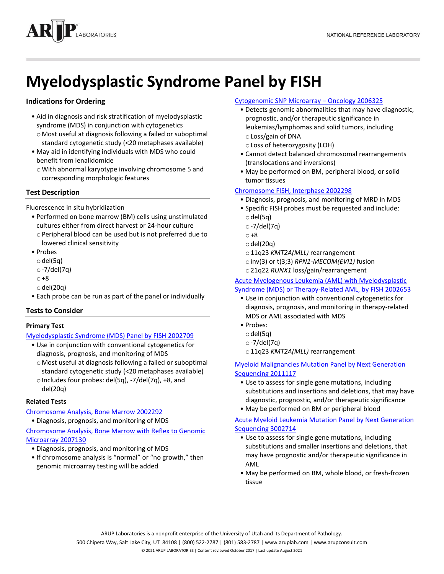

# **Myelodysplastic Syndrome Panel by FISH**

# **Indications for Ordering**

- Aid in diagnosis and risk stratification of myelodysplastic syndrome (MDS) in conjunction with cytogenetics oMost useful at diagnosis following a failed or suboptimal
- standard cytogenetic study (<20 metaphases available)
- May aid in identifying individuals with MDS who could benefit from lenalidomide
	- oWith abnormal karyotype involving chromosome 5 and corresponding morphologic features

# **Test Description**

Fluorescence in situ hybridization

- Performed on bone marrow (BM) cells using unstimulated cultures either from direct harvest or 24-hour culture
- oPeripheral blood can be used but is not preferred due to lowered clinical sensitivity
- Probes
	- odel(5q)
	- o-7/del(7q)
	- o+8
	- $\circ$  del(20q)
- Each probe can be run as part of the panel or individually

## **Tests to Consider**

## **Primary Test**

[Myelodysplastic Syndrome \(MDS\) Panel by FISH](http://ltd.aruplab.com/Tests/Pub/2002709) 200270[9](http://ltd.aruplab.com/Tests/Pub/2002709)

- Use in conjunction with conventional cytogenetics for diagnosis, prognosis, and monitoring of MDS
	- oMost useful at diagnosis following a failed or suboptimal standard cytogenetic study (<20 metaphases available)
	- $\circ$  Includes four probes: del(5q), -7/del(7q), +8, and del(20q)

## **Related Tests**

[Chromosome Analysis, Bone Marrow](http://ltd.aruplab.com/Tests/Pub/2002292) 2002292

• Diagnosis, prognosis, and monitoring of MDS

[Chromosome Analysis, Bone Marrow with Reflex to Genomic](http://ltd.aruplab.com/Tests/Pub/2007130)  [Microarray](http://ltd.aruplab.com/Tests/Pub/2007130) 2007130

- Diagnosis, prognosis, and monitoring of MDS
- If chromosome analysis is "normal" or "no growth," then genomic microarray testing will be added

## [Cytogenomic SNP Microarray](http://ltd.aruplab.com/Tests/Pub/2006325) – Oncology 2006325

- Detects genomic abnormalities that may have diagnostic, prognostic, and/or therapeutic significance in leukemias/lymphomas and solid tumors, including oLoss/gain of DNA
	- oLoss of heterozygosity (LOH)
- Cannot detect balanced chromosomal rearrangements (translocations and inversions)
- May be performed on BM, peripheral blood, or solid tumor tissues

## [Chromosome FISH, Interphase](http://ltd.aruplab.com/Tests/Pub/2002298) 2002298

- Diagnosis, prognosis, and monitoring of MRD in MDS
- Specific FISH probes must be requested and include:
	- $\circ$  del(5q)
	- o-7/del(7q)
- o+8
- $\circ$  del(20q)
- o11q23 *KMT2A(MLL)* rearrangement
- oinv(3) or t(3;3) *RPN1-MECOM(EVI1)* fusion
- o21q22 *RUNX1* loss/gain/rearrangement

#### [Acute Myelogenous Leukemia \(AML\) with Myelodysplastic](http://ltd.aruplab.com/Tests/Pub/2002653)  [Syndrome \(MDS\) or Therapy-Related AML, by FISH](http://ltd.aruplab.com/Tests/Pub/2002653) 2002653

- Use in conjunction with conventional cytogenetics for diagnosis, prognosis, and monitoring in therapy-related MDS or AML associated with MDS
- Probes:
	- $\circ$  del(5q)
	- o-7/del(7q)
	- o11q23 *KMT2A(MLL)* rearrangement

[Myeloid Malignancies Mutation Panel by Next Generation](http://ltd.aruplab.com/Tests/Pub/2011117)  [Sequencing 2011117](http://ltd.aruplab.com/Tests/Pub/2011117)

- Use to assess for single gene mutations, including substitutions and insertions and deletions, that may have diagnostic, prognostic, and/or therapeutic significance
- May be performed on BM or peripheral blood

## [Acute Myeloid Leukemia Mutation Panel by Next Generation](http://ltd.aruplab.com/Tests/Pub/3002714)  [Sequencing 3002714](http://ltd.aruplab.com/Tests/Pub/3002714)

- Use to assess for single gene mutations, including substitutions and smaller insertions and deletions, that may have prognostic and/or therapeutic significance in AML
- May be performed on BM, whole blood, or fresh-frozen tissue

ARUP Laboratories is a nonprofit enterprise of the University of Utah and its Department of Pathology.

500 Chipeta Way, Salt Lake City, UT 84108 | (800) 522-2787 | (801) 583-2787 | www.aruplab.com | www.arupconsult.com